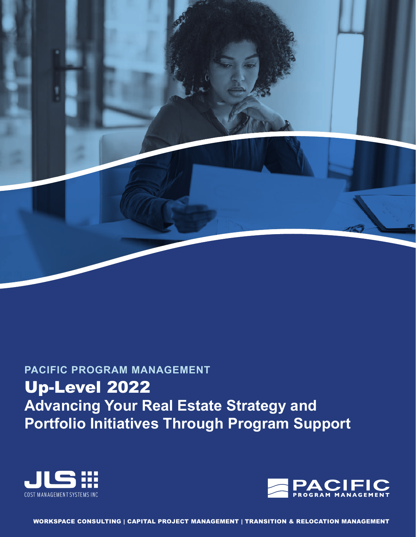

# **PACIFIC PROGRAM MANAGEMENT** Up-Level 2022 **Advancing Your Real Estate Strategy and Portfolio Initiatives Through Program Support**





WORKSPACE CONSULTING | CAPITAL PROJECT MANAGEMENT | TRANSITION & RELOCATION MANAGEMENT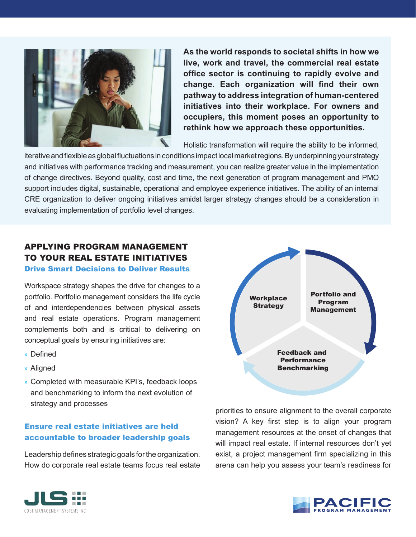**As the world responds to societal shifts in how we live, work and travel, the commercial real estate office sector is continuing to rapidly evolve and change. Each organization will find their own pathway to address integration of human-centered initiatives into their workplace. For owners and occupiers, this moment poses an opportunity to rethink how we approach these opportunities.**

Holistic transformation will require the ability to be informed,

iterative and flexible as global fluctuations in conditions impact local market regions. By underpinning your strategy and initiatives with performance tracking and measurement, you can realize greater value in the implementation of change directives. Beyond quality, cost and time, the next generation of program management and PMO support includes digital, sustainable, operational and employee experience initiatives. The ability of an internal CRE organization to deliver ongoing initiatives amidst larger strategy changes should be a consideration in evaluating implementation of portfolio level changes.

# APPLYING PROGRAM MANAGEMENT TO YOUR REAL ESTATE INITIATIVES Drive Smart Decisions to Deliver Results

Workspace strategy shapes the drive for changes to a portfolio. Portfolio management considers the life cycle of and interdependencies between physical assets and real estate operations. Program management complements both and is critical to delivering on conceptual goals by ensuring initiatives are:

- » Defined
- » Aligned
- » Completed with measurable KPI's, feedback loops and benchmarking to inform the next evolution of strategy and processes

## Ensure real estate initiatives are held accountable to broader leadership goals

Leadership defines strategic goals for the organization. How do corporate real estate teams focus real estate



priorities to ensure alignment to the overall corporate vision? A key first step is to align your program management resources at the onset of changes that will impact real estate. If internal resources don't yet exist, a project management firm specializing in this arena can help you assess your team's readiness for



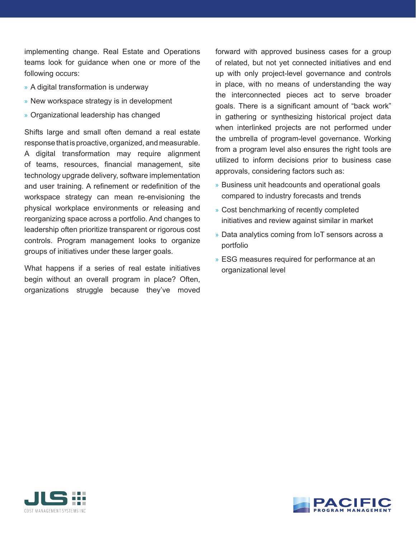implementing change. Real Estate and Operations teams look for guidance when one or more of the following occurs:

- » A digital transformation is underway
- » New workspace strategy is in development
- » Organizational leadership has changed

Shifts large and small often demand a real estate response that is proactive, organized, and measurable. A digital transformation may require alignment of teams, resources, financial management, site technology upgrade delivery, software implementation and user training. A refinement or redefinition of the workspace strategy can mean re-envisioning the physical workplace environments or releasing and reorganizing space across a portfolio. And changes to leadership often prioritize transparent or rigorous cost controls. Program management looks to organize groups of initiatives under these larger goals.

What happens if a series of real estate initiatives begin without an overall program in place? Often, organizations struggle because they've moved forward with approved business cases for a group of related, but not yet connected initiatives and end up with only project-level governance and controls in place, with no means of understanding the way the interconnected pieces act to serve broader goals. There is a significant amount of "back work" in gathering or synthesizing historical project data when interlinked projects are not performed under the umbrella of program-level governance. Working from a program level also ensures the right tools are utilized to inform decisions prior to business case approvals, considering factors such as:

- » Business unit headcounts and operational goals compared to industry forecasts and trends
- » Cost benchmarking of recently completed initiatives and review against similar in market
- » Data analytics coming from IoT sensors across a portfolio
- » ESG measures required for performance at an organizational level



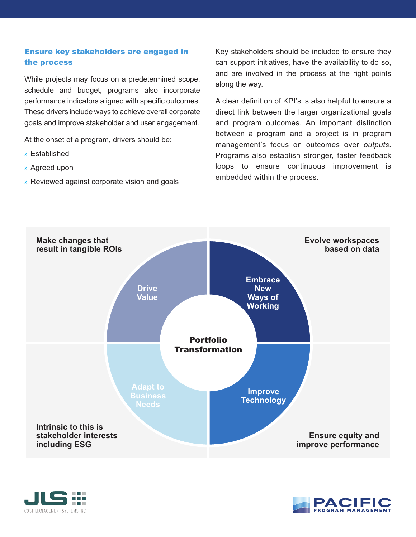## Ensure key stakeholders are engaged in the process

While projects may focus on a predetermined scope, schedule and budget, programs also incorporate performance indicators aligned with specific outcomes. These drivers include ways to achieve overall corporate goals and improve stakeholder and user engagement.

At the onset of a program, drivers should be:

- » Established
- » Agreed upon
- » Reviewed against corporate vision and goals

Key stakeholders should be included to ensure they can support initiatives, have the availability to do so, and are involved in the process at the right points along the way.

A clear definition of KPI's is also helpful to ensure a direct link between the larger organizational goals and program outcomes. An important distinction between a program and a project is in program management's focus on outcomes over *outputs*. Programs also establish stronger, faster feedback loops to ensure continuous improvement is embedded within the process.





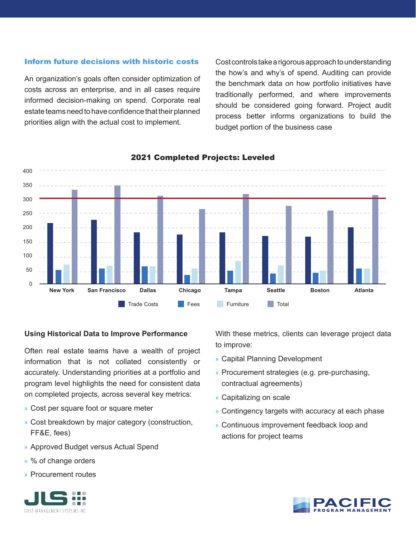#### Inform future decisions with historic costs

An organization's goals often consider optimization of costs across an enterprise, and in all cases require informed decision-making on spend. Corporate real estate teams need to have confidence that their planned priorities align with the actual cost to implement.

Cost controls take a rigorous approach to understanding the how's and why's of spend. Auditing can provide the benchmark data on how portfolio initiatives have traditionally performed, and where improvements should be considered going forward. Project audit process better informs organizations to build the budget portion of the business case



#### 2021 Completed Projects: Leveled

#### **Using Historical Data to Improve Performance**

Often real estate teams have a wealth of project information that is not collated consistently or accurately. Understanding priorities at a portfolio and program level highlights the need for consistent data on completed projects, across several key metrics:

- » Cost per square foot or square meter
- » Cost breakdown by major category (construction, FF&E, fees)
- » Approved Budget versus Actual Spend
- » % of change orders
- » Procurement routes



With these metrics, clients can leverage project data to improve:

- » Capital Planning Development
- » Procurement strategies (e.g. pre-purchasing, contractual agreements)
- » Capitalizing on scale
- » Contingency targets with accuracy at each phase
- » Continuous improvement feedback loop and actions for project teams